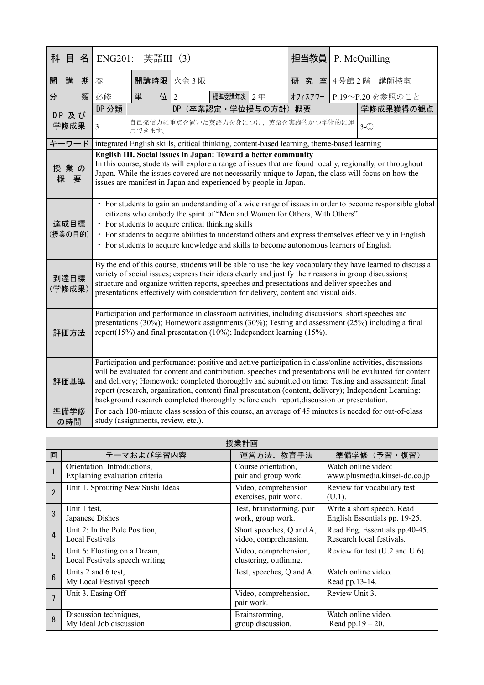| 科     | 目                                                                                                                                                                                                                                                                                                                                                                                                                          | 名                                                                                                                                                                                                                                                                                                                                                                                                                                                                  | 英語III (3)<br><b>ENG201:</b>                                                                                                                                                                                                                                                                                                                                                                                                                                                                                                     |                                                                                            |  | 担当教員      |                                    | P. McQuilling |  |           |                 |
|-------|----------------------------------------------------------------------------------------------------------------------------------------------------------------------------------------------------------------------------------------------------------------------------------------------------------------------------------------------------------------------------------------------------------------------------|--------------------------------------------------------------------------------------------------------------------------------------------------------------------------------------------------------------------------------------------------------------------------------------------------------------------------------------------------------------------------------------------------------------------------------------------------------------------|---------------------------------------------------------------------------------------------------------------------------------------------------------------------------------------------------------------------------------------------------------------------------------------------------------------------------------------------------------------------------------------------------------------------------------------------------------------------------------------------------------------------------------|--------------------------------------------------------------------------------------------|--|-----------|------------------------------------|---------------|--|-----------|-----------------|
| 開     | 講                                                                                                                                                                                                                                                                                                                                                                                                                          | 期                                                                                                                                                                                                                                                                                                                                                                                                                                                                  | 春                                                                                                                                                                                                                                                                                                                                                                                                                                                                                                                               | 開講時限 火金3限                                                                                  |  |           |                                    | 研 究 室         |  |           | 4号館2階 講師控室      |
| 分     |                                                                                                                                                                                                                                                                                                                                                                                                                            | 類                                                                                                                                                                                                                                                                                                                                                                                                                                                                  | 必修                                                                                                                                                                                                                                                                                                                                                                                                                                                                                                                              | 位 2<br>単                                                                                   |  | 標準受講年次 2年 |                                    | オフィスアワー       |  |           | P.19~P.20を参照のこと |
|       | DP 及び<br>学修成果                                                                                                                                                                                                                                                                                                                                                                                                              |                                                                                                                                                                                                                                                                                                                                                                                                                                                                    | DP 分類<br>DP (卒業認定·学位授与の方針) 概要                                                                                                                                                                                                                                                                                                                                                                                                                                                                                                   |                                                                                            |  |           |                                    |               |  | 学修成果獲得の観点 |                 |
|       |                                                                                                                                                                                                                                                                                                                                                                                                                            |                                                                                                                                                                                                                                                                                                                                                                                                                                                                    | $\mathfrak{Z}$                                                                                                                                                                                                                                                                                                                                                                                                                                                                                                                  | 用できます。                                                                                     |  |           | 自己発信力に重点を置いた英語力を身につけ、英語を実践的かつ学術的に運 |               |  |           | $3-(1)$         |
| キーワード |                                                                                                                                                                                                                                                                                                                                                                                                                            |                                                                                                                                                                                                                                                                                                                                                                                                                                                                    |                                                                                                                                                                                                                                                                                                                                                                                                                                                                                                                                 | integrated English skills, critical thinking, content-based learning, theme-based learning |  |           |                                    |               |  |           |                 |
|       | 授業の<br>概                                                                                                                                                                                                                                                                                                                                                                                                                   | English III. Social issues in Japan: Toward a better community<br>In this course, students will explore a range of issues that are found locally, regionally, or throughout<br>Japan. While the issues covered are not necessarily unique to Japan, the class will focus on how the<br>要<br>issues are manifest in Japan and experienced by people in Japan.                                                                                                       |                                                                                                                                                                                                                                                                                                                                                                                                                                                                                                                                 |                                                                                            |  |           |                                    |               |  |           |                 |
|       |                                                                                                                                                                                                                                                                                                                                                                                                                            | • For students to gain an understanding of a wide range of issues in order to become responsible global<br>citizens who embody the spirit of "Men and Women for Others, With Others"<br>達成目標<br>• For students to acquire critical thinking skills<br>(授業の目的)<br>• For students to acquire abilities to understand others and express themselves effectively in English<br>• For students to acquire knowledge and skills to become autonomous learners of English |                                                                                                                                                                                                                                                                                                                                                                                                                                                                                                                                 |                                                                                            |  |           |                                    |               |  |           |                 |
|       | By the end of this course, students will be able to use the key vocabulary they have learned to discuss a<br>variety of social issues; express their ideas clearly and justify their reasons in group discussions;<br>到達目標<br>structure and organize written reports, speeches and presentations and deliver speeches and<br>(学修成果)<br>presentations effectively with consideration for delivery, content and visual aids. |                                                                                                                                                                                                                                                                                                                                                                                                                                                                    |                                                                                                                                                                                                                                                                                                                                                                                                                                                                                                                                 |                                                                                            |  |           |                                    |               |  |           |                 |
|       | Participation and performance in classroom activities, including discussions, short speeches and<br>presentations (30%); Homework assignments (30%); Testing and assessment (25%) including a final<br>report(15%) and final presentation (10%); Independent learning (15%).<br>評価方法                                                                                                                                       |                                                                                                                                                                                                                                                                                                                                                                                                                                                                    |                                                                                                                                                                                                                                                                                                                                                                                                                                                                                                                                 |                                                                                            |  |           |                                    |               |  |           |                 |
|       | 評価基準                                                                                                                                                                                                                                                                                                                                                                                                                       |                                                                                                                                                                                                                                                                                                                                                                                                                                                                    | Participation and performance: positive and active participation in class/online activities, discussions<br>will be evaluated for content and contribution, speeches and presentations will be evaluated for content<br>and delivery; Homework: completed thoroughly and submitted on time; Testing and assessment: final<br>report (research, organization, content) final presentation (content, delivery); Independent Learning:<br>background research completed thoroughly before each report, discussion or presentation. |                                                                                            |  |           |                                    |               |  |           |                 |
|       | 準備学修<br>の時間                                                                                                                                                                                                                                                                                                                                                                                                                |                                                                                                                                                                                                                                                                                                                                                                                                                                                                    | For each 100-minute class session of this course, an average of 45 minutes is needed for out-of-class<br>study (assignments, review, etc.).                                                                                                                                                                                                                                                                                                                                                                                     |                                                                                            |  |           |                                    |               |  |           |                 |

| 授業計画            |                                                                |                                                   |                                                             |  |  |
|-----------------|----------------------------------------------------------------|---------------------------------------------------|-------------------------------------------------------------|--|--|
| 回               | テーマおよび学習内容                                                     | 運営方法、教育手法                                         | 準備学修 (予習·復習)                                                |  |  |
|                 | Orientation. Introductions,<br>Explaining evaluation criteria  | Course orientation,<br>pair and group work.       | Watch online video:<br>www.plusmedia.kinsei-do.co.jp        |  |  |
| $\overline{2}$  | Unit 1. Sprouting New Sushi Ideas                              | Video, comprehension<br>exercises, pair work.     | Review for vocabulary test<br>$(U.1)$ .                     |  |  |
| 3               | Unit 1 test,<br>Japanese Dishes                                | Test, brainstorming, pair<br>work, group work.    | Write a short speech. Read<br>English Essentials pp. 19-25. |  |  |
| 4               | Unit 2: In the Pole Position,<br>Local Festivals               | Short speeches, Q and A,<br>video, comprehension. | Read Eng. Essentials pp.40-45.<br>Research local festivals. |  |  |
| 5               | Unit 6: Floating on a Dream,<br>Local Festivals speech writing | Video, comprehension,<br>clustering, outlining.   | Review for test (U.2 and U.6).                              |  |  |
| $6\overline{6}$ | Units 2 and 6 test,<br>My Local Festival speech                | Test, speeches, Q and A.                          | Watch online video.<br>Read pp.13-14.                       |  |  |
| $\overline{7}$  | Unit 3. Easing Off                                             | Video, comprehension,<br>pair work.               | Review Unit 3.                                              |  |  |
| 8               | Discussion techniques,<br>My Ideal Job discussion              | Brainstorming,<br>group discussion.               | Watch online video.<br>Read pp. $19 - 20$ .                 |  |  |